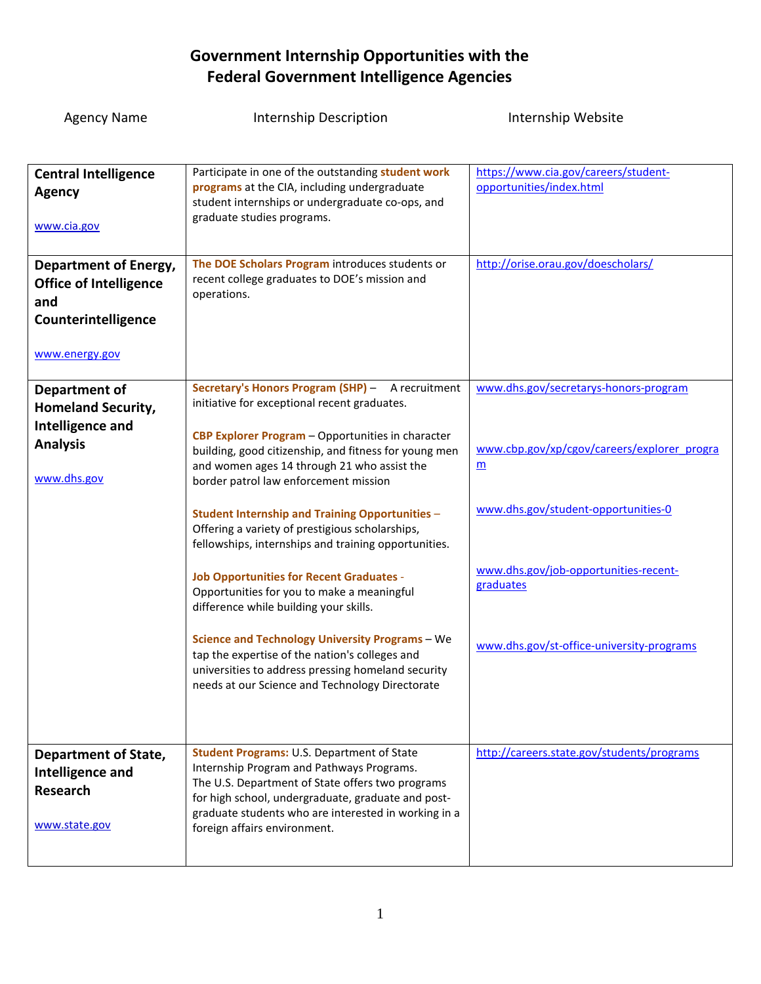| <b>Agency Name</b>                                                                                            | <b>Internship Description</b>                                                                                                                                                                                                                                                                                                                                                                                                                                           | Internship Website                                                                                                                     |
|---------------------------------------------------------------------------------------------------------------|-------------------------------------------------------------------------------------------------------------------------------------------------------------------------------------------------------------------------------------------------------------------------------------------------------------------------------------------------------------------------------------------------------------------------------------------------------------------------|----------------------------------------------------------------------------------------------------------------------------------------|
|                                                                                                               |                                                                                                                                                                                                                                                                                                                                                                                                                                                                         |                                                                                                                                        |
| <b>Central Intelligence</b><br><b>Agency</b><br>www.cia.gov                                                   | Participate in one of the outstanding student work<br>programs at the CIA, including undergraduate<br>student internships or undergraduate co-ops, and<br>graduate studies programs.                                                                                                                                                                                                                                                                                    | https://www.cia.gov/careers/student-<br>opportunities/index.html                                                                       |
| <b>Department of Energy,</b><br><b>Office of Intelligence</b><br>and<br>Counterintelligence<br>www.energy.gov | The DOE Scholars Program introduces students or<br>recent college graduates to DOE's mission and<br>operations.                                                                                                                                                                                                                                                                                                                                                         | http://orise.orau.gov/doescholars/                                                                                                     |
| Department of<br><b>Homeland Security,</b><br><b>Intelligence and</b><br><b>Analysis</b><br>www.dhs.gov       | Secretary's Honors Program (SHP) - A recruitment<br>initiative for exceptional recent graduates.<br>CBP Explorer Program - Opportunities in character<br>building, good citizenship, and fitness for young men<br>and women ages 14 through 21 who assist the<br>border patrol law enforcement mission                                                                                                                                                                  | www.dhs.gov/secretarys-honors-program<br>www.cbp.gov/xp/cgov/careers/explorer_progra<br>$\underline{\mathbf{m}}$                       |
|                                                                                                               | <b>Student Internship and Training Opportunities -</b><br>Offering a variety of prestigious scholarships,<br>fellowships, internships and training opportunities.<br><b>Job Opportunities for Recent Graduates -</b><br>Opportunities for you to make a meaningful<br>difference while building your skills.<br>Science and Technology University Programs - We<br>tap the expertise of the nation's colleges and<br>universities to address pressing homeland security | www.dhs.gov/student-opportunities-0<br>www.dhs.gov/job-opportunities-recent-<br>graduates<br>www.dhs.gov/st-office-university-programs |
| <b>Department of State,</b><br>Intelligence and<br><b>Research</b><br>www.state.gov                           | needs at our Science and Technology Directorate<br><b>Student Programs: U.S. Department of State</b><br>Internship Program and Pathways Programs.<br>The U.S. Department of State offers two programs<br>for high school, undergraduate, graduate and post-<br>graduate students who are interested in working in a<br>foreign affairs environment.                                                                                                                     | http://careers.state.gov/students/programs                                                                                             |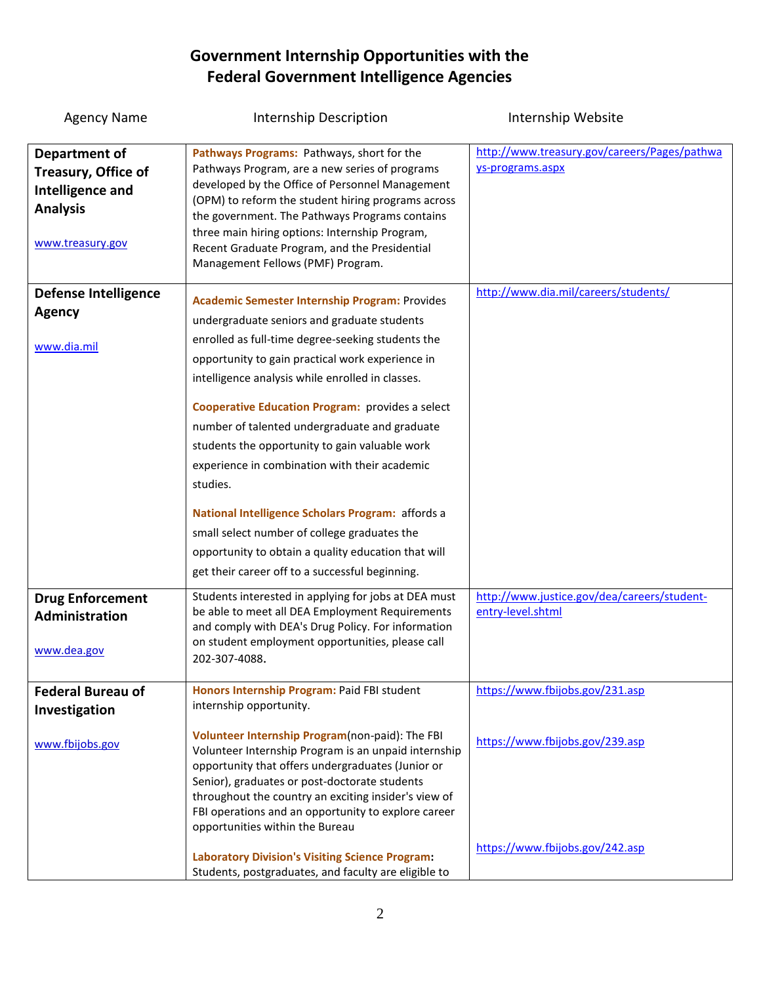| <b>Agency Name</b>                                                                                     | Internship Description                                                                                                                                                                                                                                                                                                                                                                                                                                                                                                                                                                                                                                                                                      | Internship Website                                               |
|--------------------------------------------------------------------------------------------------------|-------------------------------------------------------------------------------------------------------------------------------------------------------------------------------------------------------------------------------------------------------------------------------------------------------------------------------------------------------------------------------------------------------------------------------------------------------------------------------------------------------------------------------------------------------------------------------------------------------------------------------------------------------------------------------------------------------------|------------------------------------------------------------------|
| Department of<br>Treasury, Office of<br><b>Intelligence and</b><br><b>Analysis</b><br>www.treasury.gov | Pathways Programs: Pathways, short for the<br>Pathways Program, are a new series of programs<br>developed by the Office of Personnel Management<br>(OPM) to reform the student hiring programs across<br>the government. The Pathways Programs contains<br>three main hiring options: Internship Program,<br>Recent Graduate Program, and the Presidential<br>Management Fellows (PMF) Program.                                                                                                                                                                                                                                                                                                             | http://www.treasury.gov/careers/Pages/pathwa<br>ys-programs.aspx |
| <b>Defense Intelligence</b><br><b>Agency</b><br>www.dia.mil                                            | <b>Academic Semester Internship Program: Provides</b><br>undergraduate seniors and graduate students<br>enrolled as full-time degree-seeking students the<br>opportunity to gain practical work experience in<br>intelligence analysis while enrolled in classes.<br><b>Cooperative Education Program:</b> provides a select<br>number of talented undergraduate and graduate<br>students the opportunity to gain valuable work<br>experience in combination with their academic<br>studies.<br>National Intelligence Scholars Program: affords a<br>small select number of college graduates the<br>opportunity to obtain a quality education that will<br>get their career off to a successful beginning. | http://www.dia.mil/careers/students/                             |
| <b>Drug Enforcement</b><br>Administration<br>www.dea.gov                                               | Students interested in applying for jobs at DEA must<br>be able to meet all DEA Employment Requirements<br>and comply with DEA's Drug Policy. For information<br>on student employment opportunities, please call<br>202-307-4088.                                                                                                                                                                                                                                                                                                                                                                                                                                                                          | http://www.justice.gov/dea/careers/student-<br>entry-level.shtml |
| <b>Federal Bureau of</b><br>Investigation                                                              | Honors Internship Program: Paid FBI student<br>internship opportunity.                                                                                                                                                                                                                                                                                                                                                                                                                                                                                                                                                                                                                                      | https://www.fbijobs.gov/231.asp                                  |
| www.fbijobs.gov                                                                                        | Volunteer Internship Program(non-paid): The FBI<br>Volunteer Internship Program is an unpaid internship<br>opportunity that offers undergraduates (Junior or<br>Senior), graduates or post-doctorate students<br>throughout the country an exciting insider's view of<br>FBI operations and an opportunity to explore career<br>opportunities within the Bureau                                                                                                                                                                                                                                                                                                                                             | https://www.fbijobs.gov/239.asp                                  |
|                                                                                                        | <b>Laboratory Division's Visiting Science Program:</b><br>Students, postgraduates, and faculty are eligible to                                                                                                                                                                                                                                                                                                                                                                                                                                                                                                                                                                                              | https://www.fbijobs.gov/242.asp                                  |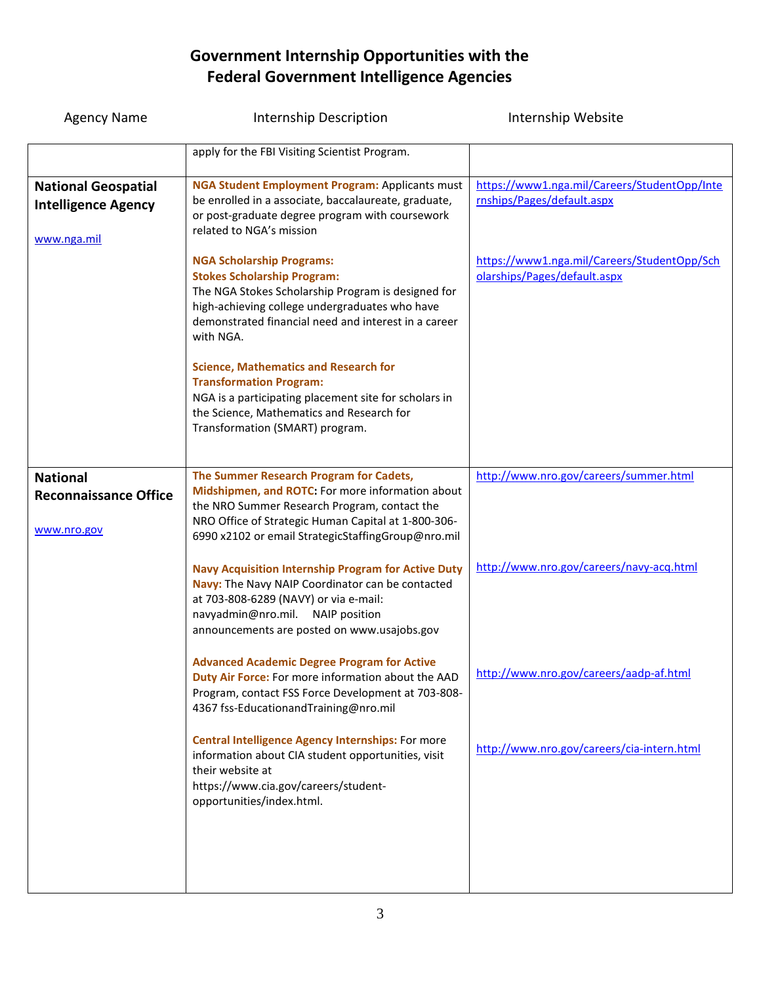| <b>Agency Name</b>                                                      | Internship Description                                                                                                                                                                                                                                   | Internship Website                                                          |
|-------------------------------------------------------------------------|----------------------------------------------------------------------------------------------------------------------------------------------------------------------------------------------------------------------------------------------------------|-----------------------------------------------------------------------------|
|                                                                         | apply for the FBI Visiting Scientist Program.                                                                                                                                                                                                            |                                                                             |
| <b>National Geospatial</b><br><b>Intelligence Agency</b><br>www.nga.mil | <b>NGA Student Employment Program: Applicants must</b><br>be enrolled in a associate, baccalaureate, graduate,<br>or post-graduate degree program with coursework<br>related to NGA's mission                                                            | https://www1.nga.mil/Careers/StudentOpp/Inte<br>rnships/Pages/default.aspx  |
|                                                                         | <b>NGA Scholarship Programs:</b><br><b>Stokes Scholarship Program:</b><br>The NGA Stokes Scholarship Program is designed for<br>high-achieving college undergraduates who have<br>demonstrated financial need and interest in a career<br>with NGA.      | https://www1.nga.mil/Careers/StudentOpp/Sch<br>olarships/Pages/default.aspx |
|                                                                         | <b>Science, Mathematics and Research for</b><br><b>Transformation Program:</b><br>NGA is a participating placement site for scholars in<br>the Science, Mathematics and Research for<br>Transformation (SMART) program.                                  |                                                                             |
| <b>National</b><br><b>Reconnaissance Office</b><br>www.nro.gov          | The Summer Research Program for Cadets,<br>Midshipmen, and ROTC: For more information about<br>the NRO Summer Research Program, contact the<br>NRO Office of Strategic Human Capital at 1-800-306-<br>6990 x2102 or email StrategicStaffingGroup@nro.mil | http://www.nro.gov/careers/summer.html                                      |
|                                                                         | <b>Navy Acquisition Internship Program for Active Duty</b><br>Navy: The Navy NAIP Coordinator can be contacted<br>at 703-808-6289 (NAVY) or via e-mail:<br>navyadmin@nro.mil. NAIP position<br>announcements are posted on www.usajobs.gov               | http://www.nro.gov/careers/navy-acq.html                                    |
|                                                                         | <b>Advanced Academic Degree Program for Active</b><br>Duty Air Force: For more information about the AAD<br>Program, contact FSS Force Development at 703-808-<br>4367 fss-EducationandTraining@nro.mil                                                  | http://www.nro.gov/careers/aadp-af.html                                     |
|                                                                         | <b>Central Intelligence Agency Internships: For more</b><br>information about CIA student opportunities, visit<br>their website at<br>https://www.cia.gov/careers/student-<br>opportunities/index.html.                                                  | http://www.nro.gov/careers/cia-intern.html                                  |
|                                                                         |                                                                                                                                                                                                                                                          |                                                                             |